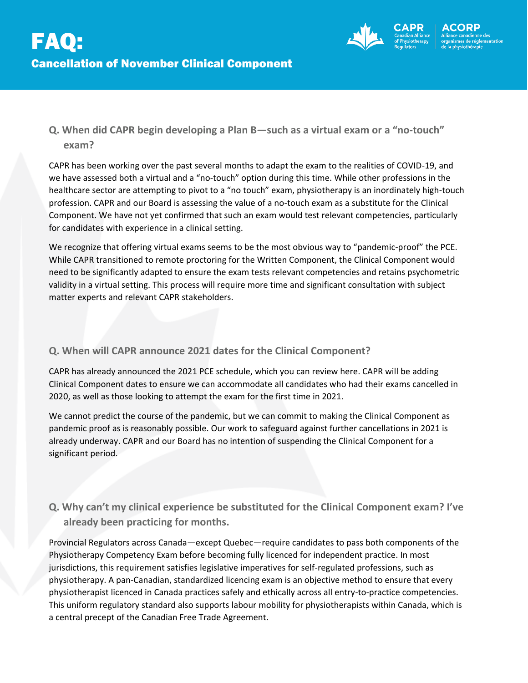

# **Q. When did CAPR begin developing a Plan B—such as a virtual exam or a "no-touch" exam?**

CAPR has been working over the past several months to adapt the exam to the realities of COVID-19, and we have assessed both a virtual and a "no-touch" option during this time. While other professions in the healthcare sector are attempting to pivot to a "no touch" exam, physiotherapy is an inordinately high-touch profession. CAPR and our Board is assessing the value of a no-touch exam as a substitute for the Clinical Component. We have not yet confirmed that such an exam would test relevant competencies, particularly for candidates with experience in a clinical setting.

We recognize that offering virtual exams seems to be the most obvious way to "pandemic-proof" the PCE. While CAPR transitioned to remote proctoring for the Written Component, the Clinical Component would need to be significantly adapted to ensure the exam tests relevant competencies and retains psychometric validity in a virtual setting. This process will require more time and significant consultation with subject matter experts and relevant CAPR stakeholders.

### **Q. When will CAPR announce 2021 dates for the Clinical Component?**

CAPR has already announced the 2021 PCE schedule, which you can review here. CAPR will be adding Clinical Component dates to ensure we can accommodate all candidates who had their exams cancelled in 2020, as well as those looking to attempt the exam for the first time in 2021.

We cannot predict the course of the pandemic, but we can commit to making the Clinical Component as pandemic proof as is reasonably possible. Our work to safeguard against further cancellations in 2021 is already underway. CAPR and our Board has no intention of suspending the Clinical Component for a significant period.

# **Q. Why can't my clinical experience be substituted for the Clinical Component exam? I've already been practicing for months.**

Provincial Regulators across Canada—except Quebec—require candidates to pass both components of the Physiotherapy Competency Exam before becoming fully licenced for independent practice. In most jurisdictions, this requirement satisfies legislative imperatives for self-regulated professions, such as physiotherapy. A pan-Canadian, standardized licencing exam is an objective method to ensure that every physiotherapist licenced in Canada practices safely and ethically across all entry-to-practice competencies. This uniform regulatory standard also supports labour mobility for physiotherapists within Canada, which is a central precept of the Canadian Free Trade Agreement.